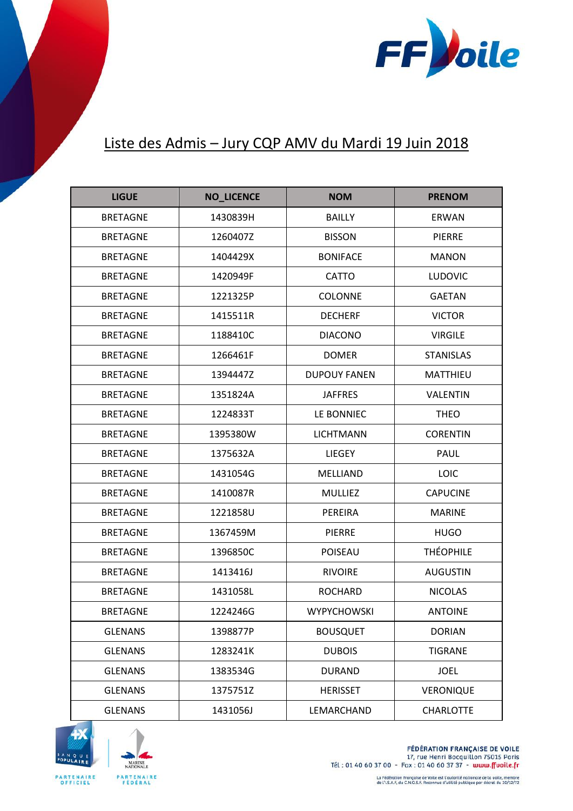

## Liste des Admis – Jury CQP AMV du Mardi 19 Juin 2018

| <b>LIGUE</b>    | <b>NO_LICENCE</b> | <b>NOM</b>          | <b>PRENOM</b>    |
|-----------------|-------------------|---------------------|------------------|
| <b>BRETAGNE</b> | 1430839H          | <b>BAILLY</b>       | <b>ERWAN</b>     |
| BRETAGNE        | 1260407Z          | <b>BISSON</b>       | <b>PIERRE</b>    |
| <b>BRETAGNE</b> | 1404429X          | <b>BONIFACE</b>     | <b>MANON</b>     |
| <b>BRETAGNE</b> | 1420949F          | <b>CATTO</b>        | <b>LUDOVIC</b>   |
| <b>BRETAGNE</b> | 1221325P          | <b>COLONNE</b>      | <b>GAETAN</b>    |
| <b>BRETAGNE</b> | 1415511R          | <b>DECHERF</b>      | <b>VICTOR</b>    |
| <b>BRETAGNE</b> | 1188410C          | <b>DIACONO</b>      | <b>VIRGILE</b>   |
| <b>BRETAGNE</b> | 1266461F          | <b>DOMER</b>        | <b>STANISLAS</b> |
| <b>BRETAGNE</b> | 1394447Z          | <b>DUPOUY FANEN</b> | MATTHIEU         |
| <b>BRETAGNE</b> | 1351824A          | <b>JAFFRES</b>      | <b>VALENTIN</b>  |
| <b>BRETAGNE</b> | 1224833T          | LE BONNIEC          | <b>THEO</b>      |
| <b>BRETAGNE</b> | 1395380W          | <b>LICHTMANN</b>    | <b>CORENTIN</b>  |
| <b>BRETAGNE</b> | 1375632A          | <b>LIEGEY</b>       | PAUL             |
| <b>BRETAGNE</b> | 1431054G          | <b>MELLIAND</b>     | <b>LOIC</b>      |
| <b>BRETAGNE</b> | 1410087R          | <b>MULLIEZ</b>      | <b>CAPUCINE</b>  |
| <b>BRETAGNE</b> | 1221858U          | PEREIRA             | <b>MARINE</b>    |
| <b>BRETAGNE</b> | 1367459M          | <b>PIERRE</b>       | <b>HUGO</b>      |
| <b>BRETAGNE</b> | 1396850C          | <b>POISEAU</b>      | <b>THÉOPHILE</b> |
| <b>BRETAGNE</b> | 1413416J          | <b>RIVOIRE</b>      | <b>AUGUSTIN</b>  |
| <b>BRETAGNE</b> | 1431058L          | <b>ROCHARD</b>      | <b>NICOLAS</b>   |
| <b>BRETAGNE</b> | 1224246G          | <b>WYPYCHOWSKI</b>  | <b>ANTOINE</b>   |
| <b>GLENANS</b>  | 1398877P          | <b>BOUSQUET</b>     | <b>DORIAN</b>    |
| <b>GLENANS</b>  | 1283241K          | <b>DUBOIS</b>       | <b>TIGRANE</b>   |
| <b>GLENANS</b>  | 1383534G          | <b>DURAND</b>       | <b>JOEL</b>      |
| <b>GLENANS</b>  | 1375751Z          | <b>HERISSET</b>     | VERONIQUE        |
| <b>GLENANS</b>  | 1431056J          | LEMARCHAND          | <b>CHARLOTTE</b> |





**FÉDÉRATION FRANÇAISE DE VOILE** 17, rue Henri Bocquillon 75015 Paris Tél: 01 40 60 37 00 - Fax: 01 40 60 37 37 - www.ffuoile.fr